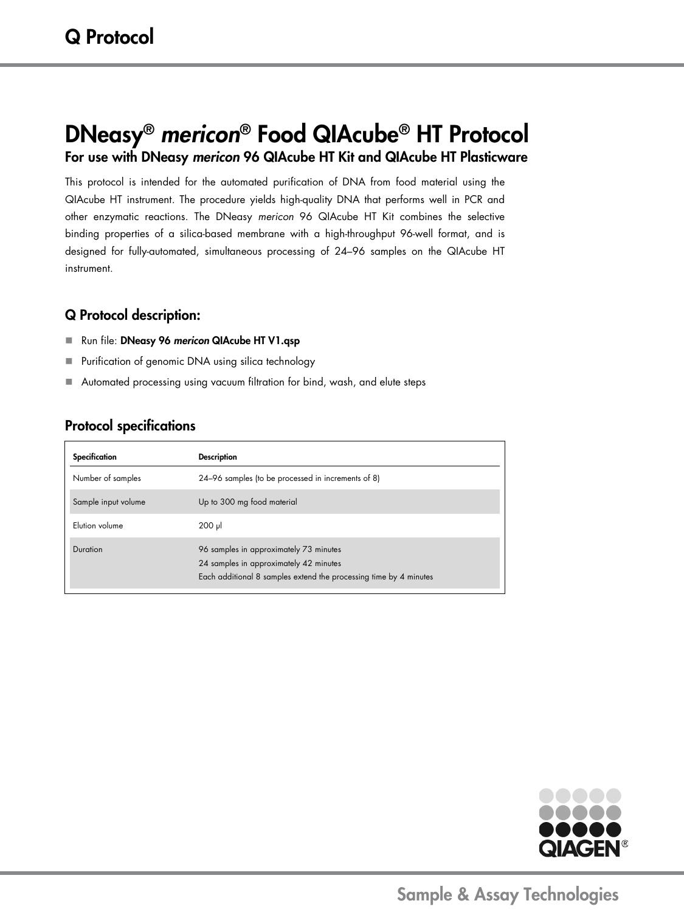# DNeasy® *mericon*® Food QIAcube® HT Protocol For use with DNeasy *mericon* 96 QIAcube HT Kit and QIAcube HT Plasticware

This protocol is intended for the automated purification of DNA from food material using the QIAcube HT instrument. The procedure yields high-quality DNA that performs well in PCR and other enzymatic reactions. The DNeasy *mericon* 96 QIAcube HT Kit combines the selective binding properties of a silica-based membrane with a high-throughput 96-well format, and is designed for fully-automated, simultaneous processing of 24–96 samples on the QIAcube HT instrument.

### Q Protocol description:

- Run file: DNeasy 96 *mericon* QIAcube HT V1.qsp
- **Purification of genomic DNA using silica technology**
- Automated processing using vacuum filtration for bind, wash, and elute steps

## Protocol specifications

| Specification       | <b>Description</b>                                                                                                                                    |
|---------------------|-------------------------------------------------------------------------------------------------------------------------------------------------------|
| Number of samples   | 24-96 samples (to be processed in increments of 8)                                                                                                    |
| Sample input volume | Up to 300 mg food material                                                                                                                            |
| Elution volume      | $200$ $\mu$                                                                                                                                           |
| Duration            | 96 samples in approximately 73 minutes<br>24 samples in approximately 42 minutes<br>Each additional 8 samples extend the processing time by 4 minutes |

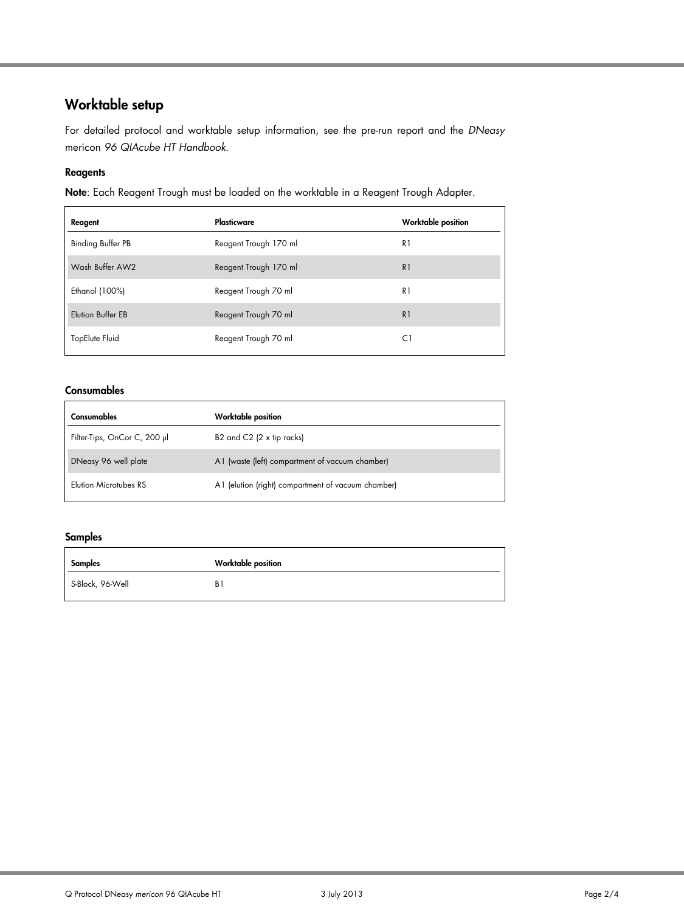# Worktable setup

For detailed protocol and worktable setup information, see the pre-run report and the *DNeasy*  mericon *96 QIAcube HT Handbook*.

#### **Reagents**

Note: Each Reagent Trough must be loaded on the worktable in a Reagent Trough Adapter.

| Reagent                  | Plasticware           | <b>Worktable position</b> |
|--------------------------|-----------------------|---------------------------|
| <b>Binding Buffer PB</b> | Reagent Trough 170 ml | R1                        |
| Wash Buffer AW2          | Reagent Trough 170 ml | R <sub>1</sub>            |
| Ethanol (100%)           | Reagent Trough 70 ml  | R1                        |
| Elution Buffer EB        | Reagent Trough 70 ml  | R <sub>1</sub>            |
| TopElute Fluid           | Reagent Trough 70 ml  | C1                        |

#### **Consumables**

| Consumables                  | <b>Worktable position</b>                          |
|------------------------------|----------------------------------------------------|
| Filter-Tips, OnCor C, 200 µl | B2 and C2 $(2 \times tip$ racks)                   |
| DNeasy 96 well plate         | A1 (waste (left) compartment of vacuum chamber)    |
| Elution Microtubes RS        | A1 (elution (right) compartment of vacuum chamber) |

#### Samples

| Samples          | <b>Worktable position</b> |
|------------------|---------------------------|
| S-Block, 96-Well | B1                        |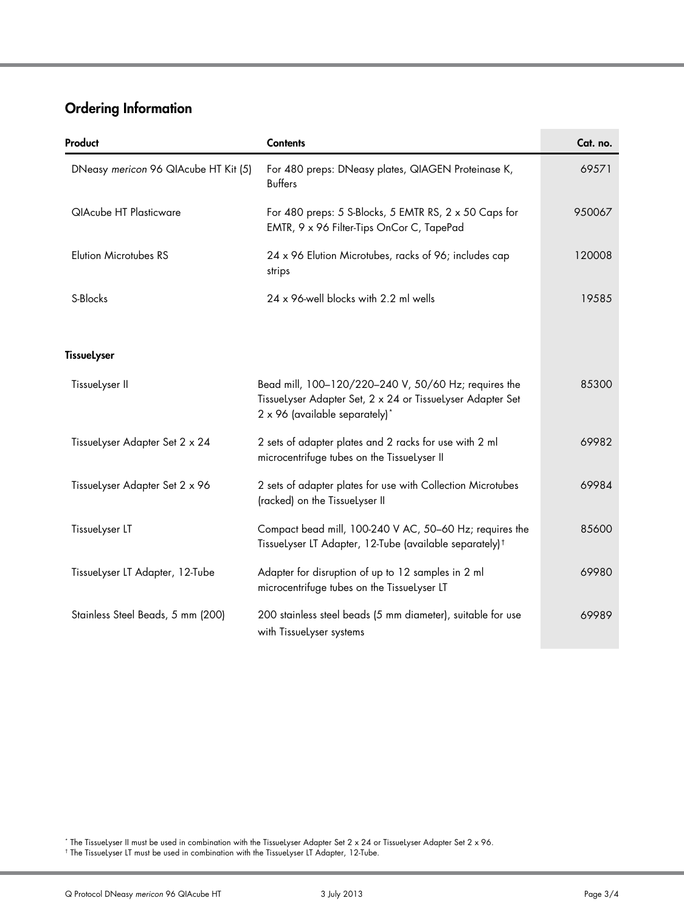# Ordering Information

| Product                              | <b>Contents</b>                                                                                                                                      | Cat. no. |
|--------------------------------------|------------------------------------------------------------------------------------------------------------------------------------------------------|----------|
| DNeasy mericon 96 QIAcube HT Kit (5) | For 480 preps: DNeasy plates, QIAGEN Proteinase K,<br><b>Buffers</b>                                                                                 | 69571    |
| <b>QIAcube HT Plasticware</b>        | For 480 preps: 5 S-Blocks, 5 EMTR RS, 2 x 50 Caps for<br>EMTR, 9 x 96 Filter-Tips OnCor C, TapePad                                                   | 950067   |
| Elution Microtubes RS                | 24 x 96 Elution Microtubes, racks of 96; includes cap<br>strips                                                                                      | 120008   |
| S-Blocks                             | 24 x 96-well blocks with 2.2 ml wells                                                                                                                | 19585    |
| <b>TissueLyser</b>                   |                                                                                                                                                      |          |
| TissueLyser II                       | Bead mill, 100-120/220-240 V, 50/60 Hz; requires the<br>Tissuelyser Adapter Set, 2 x 24 or Tissuelyser Adapter Set<br>2 x 96 (available separately)* | 85300    |
| TissueLyser Adapter Set 2 x 24       | 2 sets of adapter plates and 2 racks for use with 2 ml<br>microcentrifuge tubes on the TissueLyser II                                                | 69982    |
| Tissuelyser Adapter Set 2 x 96       | 2 sets of adapter plates for use with Collection Microtubes<br>(racked) on the TissueLyser II                                                        | 69984    |
| Tissuelyser LT                       | Compact bead mill, 100-240 V AC, 50-60 Hz; requires the<br>Tissuelyser LT Adapter, 12-Tube (available separately) <sup>†</sup>                       | 85600    |
| Tissuelyser LT Adapter, 12-Tube      | Adapter for disruption of up to 12 samples in 2 ml<br>microcentrifuge tubes on the TissueLyser LT                                                    | 69980    |
| Stainless Steel Beads, 5 mm (200)    | 200 stainless steel beads (5 mm diameter), suitable for use<br>with TissueLyser systems                                                              | 69989    |

<span id="page-2-0"></span>\* The TissueLyser II must be used in combination with the TissueLyser Adapter Set 2 x 24 or TissueLyser Adapter Set 2 x 96.

<span id="page-2-1"></span>† The TissueLyser LT must be used in combination with the TissueLyser LT Adapter, 12-Tube.